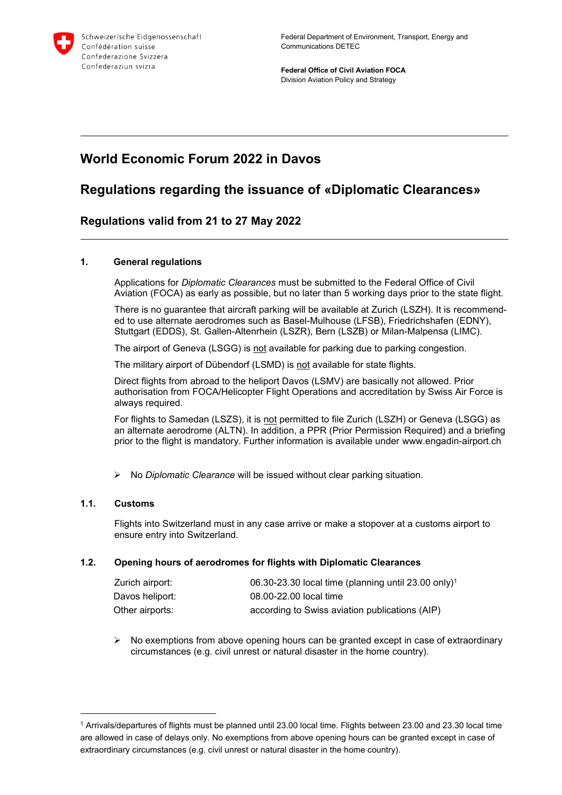

**Federal Office of Civil Aviation FOCA** Division Aviation Policy and Strategy

# **World Economic Forum 2022 in Davos**

# **Regulations regarding the issuance of «Diplomatic Clearances»**

### **Regulations valid from 21 to 27 May 2022**

#### **1. General regulations**

Applications for *Diplomatic Clearances* must be submitted to the Federal Office of Civil Aviation (FOCA) as early as possible, but no later than 5 working days prior to the state flight.

There is no guarantee that aircraft parking will be available at Zurich (LSZH). It is recommended to use alternate aerodromes such as Basel-Mulhouse (LFSB), Friedrichshafen (EDNY), Stuttgart (EDDS), St. Gallen-Altenrhein (LSZR), Bern (LSZB) or Milan-Malpensa (LIMC).

The airport of Geneva (LSGG) is not available for parking due to parking congestion.

The military airport of Dübendorf (LSMD) is not available for state flights.

Direct flights from abroad to the heliport Davos (LSMV) are basically not allowed. Prior authorisation from FOCA/Helicopter Flight Operations and accreditation by Swiss Air Force is always required.

For flights to Samedan (LSZS), it is not permitted to file Zurich (LSZH) or Geneva (LSGG) as an alternate aerodrome (ALTN). In addition, a PPR (Prior Permission Required) and a briefing prior to the flight is mandatory. Further information is available under www.engadin-airport.ch

No *Diplomatic Clearance* will be issued without clear parking situation.

#### **1.1. Customs**

-

Flights into Switzerland must in any case arrive or make a stopover at a customs airport to ensure entry into Switzerland.

#### **1.2. Opening hours of aerodromes for flights with Diplomatic Clearances**

| Zurich airport: | $06.30 - 23.30$ local time (planning until 23.00 only) <sup>1</sup> |
|-----------------|---------------------------------------------------------------------|
| Davos heliport: | 08.00-22.00 local time                                              |
| Other airports: | according to Swiss aviation publications (AIP)                      |

 $\triangleright$  No exemptions from above opening hours can be granted except in case of extraordinary circumstances (e.g. civil unrest or natural disaster in the home country).

<sup>1</sup> Arrivals/departures of flights must be planned until 23.00 local time. Flights between 23.00 and 23.30 local time are allowed in case of delays only. No exemptions from above opening hours can be granted except in case of extraordinary circumstances (e.g. civil unrest or natural disaster in the home country).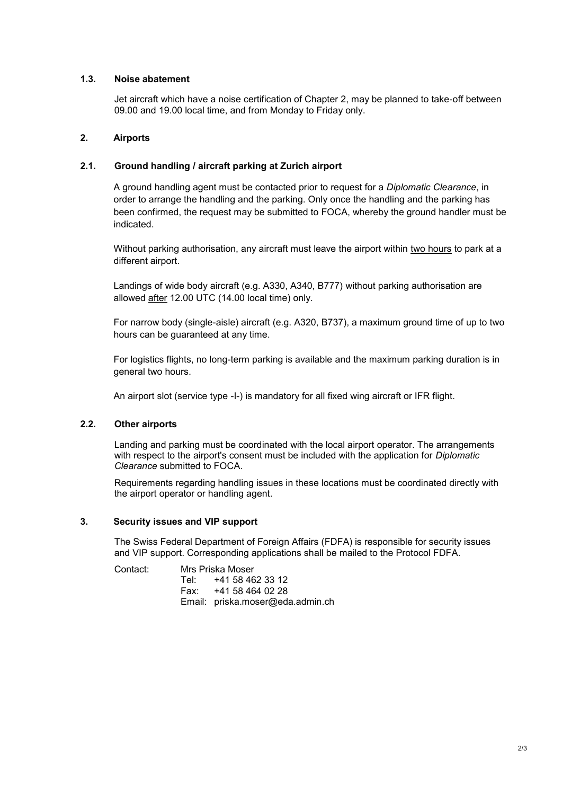#### **1.3. Noise abatement**

Jet aircraft which have a noise certification of Chapter 2, may be planned to take-off between 09.00 and 19.00 local time, and from Monday to Friday only.

#### **2. Airports**

#### **2.1. Ground handling / aircraft parking at Zurich airport**

A ground handling agent must be contacted prior to request for a *Diplomatic Clearance*, in order to arrange the handling and the parking. Only once the handling and the parking has been confirmed, the request may be submitted to FOCA, whereby the ground handler must be indicated.

Without parking authorisation, any aircraft must leave the airport within two hours to park at a different airport.

Landings of wide body aircraft (e.g. A330, A340, B777) without parking authorisation are allowed after 12.00 UTC (14.00 local time) only.

For narrow body (single-aisle) aircraft (e.g. A320, B737), a maximum ground time of up to two hours can be guaranteed at any time.

For logistics flights, no long-term parking is available and the maximum parking duration is in general two hours.

An airport slot (service type -I-) is mandatory for all fixed wing aircraft or IFR flight.

#### **2.2. Other airports**

Landing and parking must be coordinated with the local airport operator. The arrangements with respect to the airport's consent must be included with the application for *Diplomatic Clearance* submitted to FOCA.

Requirements regarding handling issues in these locations must be coordinated directly with the airport operator or handling agent.

#### **3. Security issues and VIP support**

The Swiss Federal Department of Foreign Affairs (FDFA) is responsible for security issues and VIP support. Corresponding applications shall be mailed to the Protocol FDFA.

Contact: Mrs Priska Moser Tel: +41 58 462 33 12 Fax: +41 58 464 02 28 Email: priska.moser@eda.admin.ch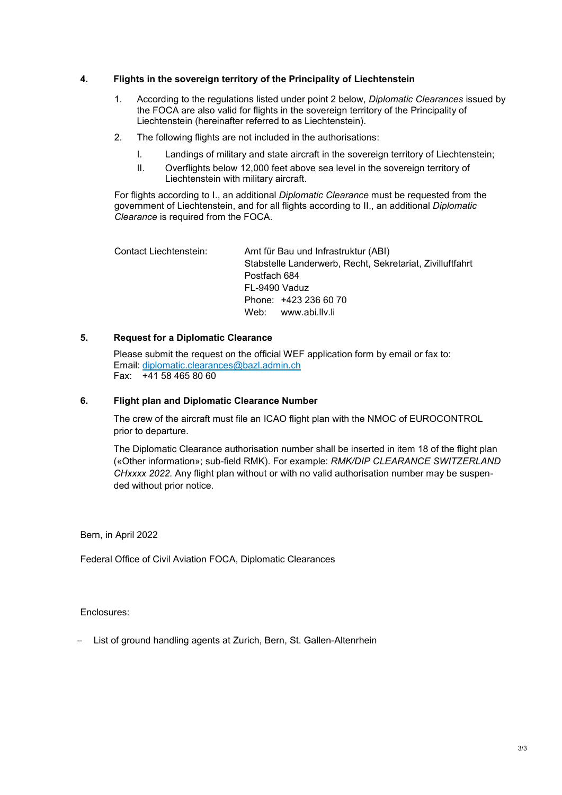#### **4. Flights in the sovereign territory of the Principality of Liechtenstein**

- 1. According to the regulations listed under point 2 below, *Diplomatic Clearances* issued by the FOCA are also valid for flights in the sovereign territory of the Principality of Liechtenstein (hereinafter referred to as Liechtenstein).
- 2. The following flights are not included in the authorisations:
	- I. Landings of military and state aircraft in the sovereign territory of Liechtenstein;
	- II. Overflights below 12,000 feet above sea level in the sovereign territory of Liechtenstein with military aircraft.

For flights according to I., an additional *Diplomatic Clearance* must be requested from the government of Liechtenstein, and for all flights according to II., an additional *Diplomatic Clearance* is required from the FOCA.

Contact Liechtenstein: Amt für Bau und Infrastruktur (ABI) Stabstelle Landerwerb, Recht, Sekretariat, Zivilluftfahrt Postfach 684 FL-9490 Vaduz Phone: +423 236 60 70 Web: www.abi.llv.li

#### **5. Request for a Diplomatic Clearance**

Please submit the request on the official WEF application form by email or fax to: Email: [diplomatic.clearances@bazl.admin.ch](mailto:diplomatic.clearances@bazl.admin.ch) Fax: +41 58 465 80 60

#### **6. Flight plan and Diplomatic Clearance Number**

The crew of the aircraft must file an ICAO flight plan with the NMOC of EUROCONTROL prior to departure.

The Diplomatic Clearance authorisation number shall be inserted in item 18 of the flight plan («Other information»; sub-field RMK). For example: *RMK/DIP CLEARANCE SWITZERLAND CHxxxx 2022.* Any flight plan without or with no valid authorisation number may be suspended without prior notice.

Bern, in April 2022

Federal Office of Civil Aviation FOCA, Diplomatic Clearances

Enclosures:

‒ List of ground handling agents at Zurich, Bern, St. Gallen-Altenrhein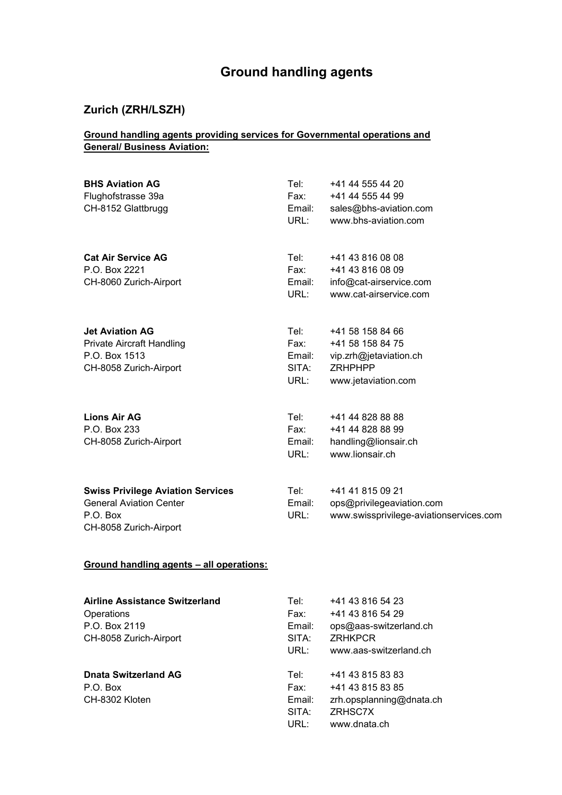# **Ground handling agents**

## **Zurich (ZRH/LSZH)**

### **Ground handling agents providing services for Governmental operations and General/ Business Aviation:**

| <b>BHS Aviation AG</b><br>Flughofstrasse 39a<br>CH-8152 Glattbrugg                                               | Tel:<br>Fax: F<br>Email:<br>URL:        | +41 44 555 44 20<br>+41 44 555 44 99<br>sales@bhs-aviation.com<br>www.bhs-aviation.com                  |
|------------------------------------------------------------------------------------------------------------------|-----------------------------------------|---------------------------------------------------------------------------------------------------------|
| <b>Cat Air Service AG</b><br>P.O. Box 2221<br>CH-8060 Zurich-Airport                                             | Tel:<br>Fax:<br>Email:<br>URL:          | +41 43 816 08 08<br>+41 43 816 08 09<br>info@cat-airservice.com<br>www.cat-airservice.com               |
| <b>Jet Aviation AG</b><br><b>Private Aircraft Handling</b><br>P.O. Box 1513<br>CH-8058 Zurich-Airport            | Tel:<br>Fax:<br>Email:<br>SITA:<br>URL: | +41 58 158 84 66<br>+41 58 158 84 75<br>vip.zrh@jetaviation.ch<br><b>ZRHPHPP</b><br>www.jetaviation.com |
| <b>Lions Air AG</b><br>P.O. Box 233<br>CH-8058 Zurich-Airport                                                    | Tel: Tel<br>Fax: Fax<br>Email:<br>URL:  | +41 44 828 88 88<br>+41 44 828 88 99<br>handling@lionsair.ch<br>www.lionsair.ch                         |
| <b>Swiss Privilege Aviation Services</b><br><b>General Aviation Center</b><br>P.O. Box<br>CH-8058 Zurich-Airport | Tel:<br>Email:<br>URL:                  | +41 41 815 09 21<br>ops@privilegeaviation.com<br>www.swissprivilege-aviationservices.com                |
| Ground handling agents - all operations:                                                                         |                                         |                                                                                                         |
| <b>Airline Assistance Switzerland</b><br>Operations<br>P.O. Box 2119<br>CH-8058 Zurich-Airport                   | Tel: T<br>Fax:<br>Email:<br>SITA:       | +41 43 816 54 23<br>+41 43 816 54 29<br>ops@aas-switzerland.ch<br><b>ZRHKPCR</b>                        |

|                             | URL:   | www.aas-switzerland.ch   |
|-----------------------------|--------|--------------------------|
| <b>Dnata Switzerland AG</b> | Tel:⊣  | +41 43 815 83 83         |
| P.O. Box                    | Fax:   | +41 43 815 83 85         |
| CH-8302 Kloten              | Email: | zrh.opsplanning@dnata.ch |
|                             | SITA:  | ZRHSC7X                  |
|                             | URL:   | www.dnata.ch             |